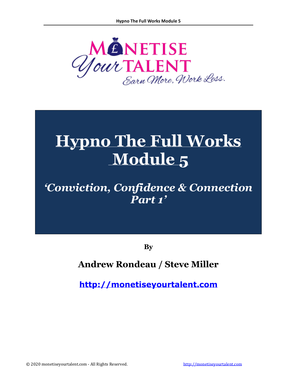

# **Hypno The Full Works Module 5**

## *'Conviction, Confidence & Connection Part 1'*

**By**

### **Andrew Rondeau / Steve Miller**

**[http://monetiseyourtalent.com](http://monetiseyourtalent.com/)**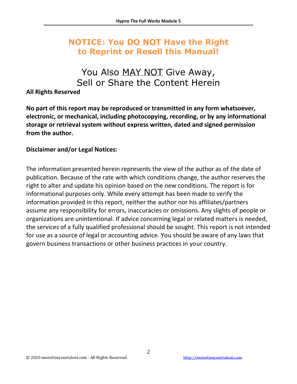### **NOTICE: You DO NOT Have the Right to Reprint or Resell this Manual!**

### You Also MAY NOT Give Away, Sell or Share the Content Herein

### **All Rights Reserved**

**No part of this report may be reproduced or transmitted in any form whatsoever, electronic, or mechanical, including photocopying, recording, or by any informational storage or retrieval system without express written, dated and signed permission from the author.** 

### **Disclaimer and/or Legal Notices:**

The information presented herein represents the view of the author as of the date of publication. Because of the rate with which conditions change, the author reserves the right to alter and update his opinion based on the new conditions. The report is for informational purposes only. While every attempt has been made to verify the information provided in this report, neither the author nor his affiliates/partners assume any responsibility for errors, inaccuracies or omissions. Any slights of people or organizations are unintentional. If advice concerning legal or related matters is needed, the services of a fully qualified professional should be sought. This report is not intended for use as a source of legal or accounting advice. You should be aware of any laws that govern business transactions or other business practices in your country.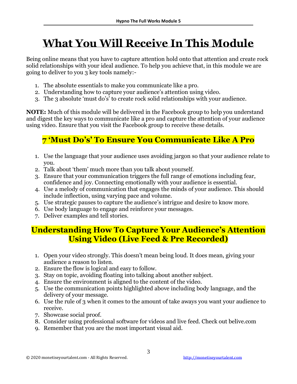# **What You Will Receive In This Module**

Being online means that you have to capture attention hold onto that attention and create rock solid relationships with your ideal audience. To help you achieve that, in this module we are going to deliver to you 3 key tools namely:-

- 1. The absolute essentials to make you communicate like a pro.
- 2. Understanding how to capture your audience's attention using video.
- 3. The 3 absolute 'must do's' to create rock solid relationships with your audience.

**NOTE:** Much of this module will be delivered in the Facebook group to help you understand and digest the key ways to communicate like a pro and capture the attention of your audience using video. Ensure that you visit the Facebook group to receive these details.

### **7 'Must Do's' To Ensure You Communicate Like A Pro**

- 1. Use the language that your audience uses avoiding jargon so that your audience relate to you.
- 2. Talk about 'them' much more than you talk about yourself.
- 3. Ensure that your communication triggers the full range of emotions including fear, confidence and joy. Connecting emotionally with your audience is essential.
- 4. Use a melody of communication that engages the minds of your audience. This should include inflection, using varying pace and volume.
- 5. Use strategic pauses to capture the audience's intrigue and desire to know more.
- 6. Use body language to engage and reinforce your messages.
- 7. Deliver examples and tell stories.

### **Understanding How To Capture Your Audience's Attention Using Video (Live Feed & Pre Recorded)**

- 1. Open your video strongly. This doesn't mean being loud. It does mean, giving your audience a reason to listen.
- 2. Ensure the flow is logical and easy to follow.
- 3. Stay on topic, avoiding floating into talking about another subject.
- 4. Ensure the environment is aligned to the content of the video.
- 5. Use the communication points highlighted above including body language, and the delivery of your message.
- 6. Use the rule of 3 when it comes to the amount of take aways you want your audience to receive.
- 7. Showcase social proof.
- 8. Consider using professional software for videos and live feed. Check out belive.com
- 9. Remember that you are the most important visual aid.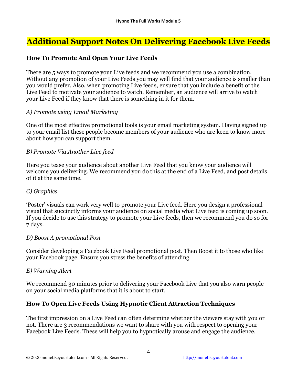### **Additional Support Notes On Delivering Facebook Live Feeds**

### **How To Promote And Open Your Live Feeds**

There are 5 ways to promote your Live feeds and we recommend you use a combination. Without any promotion of your Live Feeds you may well find that your audience is smaller than you would prefer. Also, when promoting Live feeds, ensure that you include a benefit of the Live Feed to motivate your audience to watch. Remember, an audience will arrive to watch your Live Feed if they know that there is something in it for them.

#### *A) Promote using Email Marketing*

One of the most effective promotional tools is your email marketing system. Having signed up to your email list these people become members of your audience who are keen to know more about how you can support them.

#### *B) Promote Via Another Live feed*

Here you tease your audience about another Live Feed that you know your audience will welcome you delivering. We recommend you do this at the end of a Live Feed, and post details of it at the same time.

#### *C) Graphics*

'Poster' visuals can work very well to promote your Live feed. Here you design a professional visual that succinctly informs your audience on social media what Live feed is coming up soon. If you decide to use this strategy to promote your Live feeds, then we recommend you do so for 7 days.

### *D) Boost A promotional Post*

Consider developing a Facebook Live Feed promotional post. Then Boost it to those who like your Facebook page. Ensure you stress the benefits of attending.

### *E) Warning Alert*

We recommend 30 minutes prior to delivering your Facebook Live that you also warn people on your social media platforms that it is about to start.

### **How To Open Live Feeds Using Hypnotic Client Attraction Techniques**

The first impression on a Live Feed can often determine whether the viewers stay with you or not. There are 3 recommendations we want to share with you with respect to opening your Facebook Live Feeds. These will help you to hypnotically arouse and engage the audience.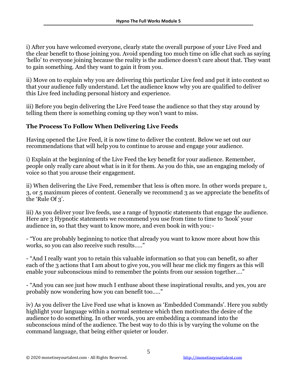i) After you have welcomed everyone, clearly state the overall purpose of your Live Feed and the clear benefit to those joining you. Avoid spending too much time on idle chat such as saying 'hello' to everyone joining because the reality is the audience doesn't care about that. They want to gain something. And they want to gain it from you.

ii) Move on to explain why you are delivering this particular Live feed and put it into context so that your audience fully understand. Let the audience know why you are qualified to deliver this Live feed including personal history and experience.

iii) Before you begin delivering the Live Feed tease the audience so that they stay around by telling them there is something coming up they won't want to miss.

### **The Process To Follow When Delivering Live Feeds**

Having opened the Live Feed, it is now time to deliver the content. Below we set out our recommendations that will help you to continue to arouse and engage your audience.

i) Explain at the beginning of the Live Feed the key benefit for your audience. Remember, people only really care about what is in it for them. As you do this, use an engaging melody of voice so that you arouse their engagement.

ii) When delivering the Live Feed, remember that less is often more. In other words prepare 1, 3, or 5 maximum pieces of content. Generally we recommend 3 as we appreciate the benefits of the 'Rule Of 3'.

iii) As you deliver your live feeds, use a range of hypnotic statements that engage the audience. Here are 3 Hypnotic statements we recommend you use from time to time to 'hook' your audience in, so that they want to know more, and even book in with you:-

- "You are probably beginning to notice that already you want to know more about how this works, so you can also receive such results….."

- "And I really want you to retain this valuable information so that you can benefit, so after each of the 3 actions that I am about to give you, you will hear me click my fingers as this will enable your subconscious mind to remember the points from our session together…."

- "And you can see just how much I enthuse about these inspirational results, and yes, you are probably now wondering how you can benefit too….."

iv) As you deliver the Live Feed use what is known as 'Embedded Commands'. Here you subtly highlight your language within a normal sentence which then motivates the desire of the audience to do something. In other words, you are embedding a command into the subconscious mind of the audience. The best way to do this is by varying the volume on the command language, that being either quieter or louder.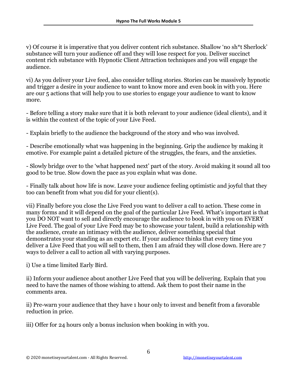v) Of course it is imperative that you deliver content rich substance. Shallow 'no sh\*t Sherlock' substance will turn your audience off and they will lose respect for you. Deliver succinct content rich substance with Hypnotic Client Attraction techniques and you will engage the audience.

vi) As you deliver your Live feed, also consider telling stories. Stories can be massively hypnotic and trigger a desire in your audience to want to know more and even book in with you. Here are our 5 actions that will help you to use stories to engage your audience to want to know more.

- Before telling a story make sure that it is both relevant to your audience (ideal clients), and it is within the context of the topic of your Live Feed.

- Explain briefly to the audience the background of the story and who was involved.

- Describe emotionally what was happening in the beginning. Grip the audience by making it emotive. For example paint a detailed picture of the struggles, the fears, and the anxieties.

- Slowly bridge over to the 'what happened next' part of the story. Avoid making it sound all too good to be true. Slow down the pace as you explain what was done.

- Finally talk about how life is now. Leave your audience feeling optimistic and joyful that they too can benefit from what you did for your client(s).

vii) Finally before you close the Live Feed you want to deliver a call to action. These come in many forms and it will depend on the goal of the particular Live Feed. What's important is that you DO NOT want to sell and directly encourage the audience to book in with you on EVERY Live Feed. The goal of your Live Feed may be to showcase your talent, build a relationship with the audience, create an intimacy with the audience, deliver something special that demonstrates your standing as an expert etc. If your audience thinks that every time you deliver a Live Feed that you will sell to them, then I am afraid they will close down. Here are 7 ways to deliver a call to action all with varying purposes.

i) Use a time limited Early Bird.

ii) Inform your audience about another Live Feed that you will be delivering. Explain that you need to have the names of those wishing to attend. Ask them to post their name in the comments area.

ii) Pre-warn your audience that they have 1 hour only to invest and benefit from a favorable reduction in price.

iii) Offer for 24 hours only a bonus inclusion when booking in with you.